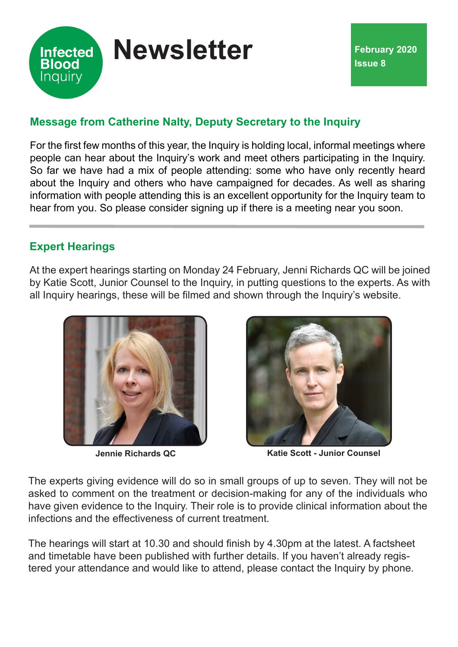

# **Message from Catherine Nalty, Deputy Secretary to the Inquiry**

For the first few months of this year, the Inquiry is holding local, informal meetings where people can hear about the Inquiry's work and meet others participating in the Inquiry. So far we have had a mix of people attending: some who have only recently heard about the Inquiry and others who have campaigned for decades. As well as sharing information with people attending this is an excellent opportunity for the Inquiry team to hear from you. So please consider signing up if there is a meeting near you soon.

# **Expert Hearings**

At the expert hearings starting on Monday 24 February, Jenni Richards QC will be joined by Katie Scott, Junior Counsel to the Inquiry, in putting questions to the experts. As with all Inquiry hearings, these will be filmed and shown through the Inquiry's website.





**Jennie Richards QC Katie Scott - Junior Counsel**

The experts giving evidence will do so in small groups of up to seven. They will not be asked to comment on the treatment or decision-making for any of the individuals who have given evidence to the Inquiry. Their role is to provide clinical information about the infections and the effectiveness of current treatment.

The hearings will start at 10.30 and should finish by 4.30pm at the latest. A factsheet and timetable have been published with further details. If you haven't already registered your attendance and would like to attend, please contact the Inquiry by phone.